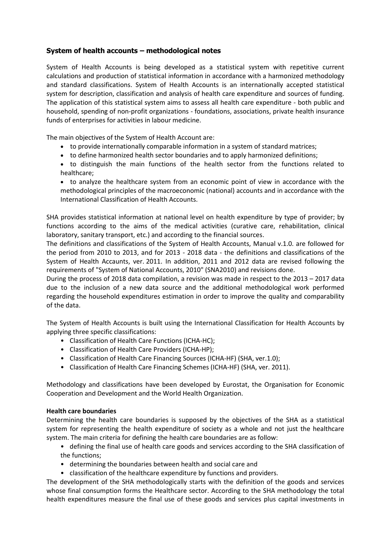# **System of health accounts – methodological notes**

System of Health Accounts is being developed as a statistical system with repetitive current calculations and production of statistical information in accordance with a harmonized methodology and standard classifications. System of Health Accounts is an internationally accepted statistical system for description, classification and analysis of health care expenditure and sources of funding. The application of this statistical system aims to assess all health care expenditure - both public and household, spending of non-profit organizations - foundations, associations, private health insurance funds of enterprises for activities in labour medicine.

The main objectives of the System of Health Account are:

- to provide internationally comparable information in a system of standard matrices;
- to define harmonized health sector boundaries and to apply harmonized definitions;
- to distinguish the main functions of the health sector from the functions related to healthcare;
- to analyze the healthcare system from an economic point of view in accordance with the methodological principles of the macroeconomic (national) accounts and in accordance with the International Classification of Health Accounts.

SHA provides statistical information at national level on health expenditure by type of provider; by functions according to the aims of the medical activities (curative care, rehabilitation, clinical laboratory, sanitary transport, etc.) and according to the financial sources.

The definitions and classifications of the System of Health Accounts, Manual v.1.0. are followed for the period from 2010 to 2013, and for 2013 - 2018 data - the definitions and classifications of the System of Health Accaunts, ver. 2011. In addition, 2011 and 2012 data are revised following the requirements of "System of National Accounts, 2010" (SNA2010) and revisions done.

During the process of 2018 data compilation, a revision was made in respect to the 2013 – 2017 data due to the inclusion of a new data source and the additional methodological work performed regarding the household expenditures estimation in order to improve the quality and comparability of the data.

The System of Health Accounts is built using the International Classification for Health Accounts by applying three specific classifications:

- Classification of Health Care Functions (ICHA-HC);
- Classification of Health Care Providers (ICHA-HP);
- Classification of Health Care Financing Sources (ICHA-HF) (SHA, ver.1.0);
- Classification of Health Care Financing Schemes (ICHA-HF) (SHA, ver. 2011).

Methodology and classifications have been developed by Eurostat, the Organisation for Economic Cooperation and Development and the World Health Organization.

## **Health care boundaries**

Determining the health care boundaries is supposed by the objectives of the SHA as a statistical system for representing the health expenditure of society as a whole and not just the healthcare system. The main criteria for defining the health care boundaries are as follow:

- defining the final use of health care goods and services according to the SHA classification of the functions;
- determining the boundaries between health and social care and
- classification of the healthcare expenditure by functions and providers.

The development of the SHA methodologically starts with the definition of the goods and services whose final consumption forms the Healthcare sector. According to the SHA methodology the total health expenditures measure the final use of these goods and services plus capital investments in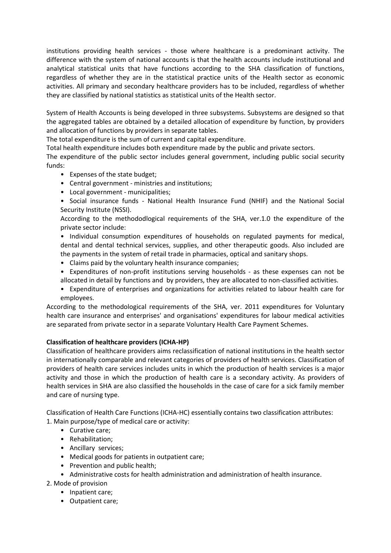institutions providing health services - those where healthcare is a predominant activity. The difference with the system of national accounts is that the health accounts include institutional and analytical statistical units that have functions according to the SHA classification of functions, regardless of whether they are in the statistical practice units of the Health sector as economic activities. All primary and secondary healthcare providers has to be included, regardless of whether they are classified by national statistics as statistical units of the Health sector.

System of Health Accounts is being developed in three subsystems. Subsystems are designed so that the aggregated tables are obtained by a detailed allocation of expenditure by function, by providers and allocation of functions by providers in separate tables.

The total expenditure is the sum of current and capital expenditure.

Total health expenditure includes both expenditure made by the public and private sectors.

The expenditure of the public sector includes general government, including public social security funds:

- Expenses of the state budget;
- Central government ministries and institutions;
- Local government municipalities;
- Social insurance funds National Health Insurance Fund (NHIF) and the National Social Security Institute (NSSI).

According to the methododlogical requirements of the SHA, ver.1.0 the expenditure of the private sector include:

• Individual consumption expenditures of households on regulated payments for medical, dental and dental technical services, supplies, and other therapeutic goods. Also included are the payments in the system of retail trade in pharmacies, optical and sanitary shops.

- Claims paid by the voluntary health insurance companies;
- Expenditures of non-profit institutions serving households as these expenses can not be allocated in detail by functions and by providers, they are allocated to non-classified activities.
- Expenditure of enterprises and organizations for activities related to labour health care for employees.

According to the methodological requirements of the SHA, ver. 2011 expenditures for Voluntary health care insurance and enterprises' and organisations' expenditures for labour medical activities are separated from private sector in a separate Voluntary Health Care Payment Schemes.

## **Classification of healthcare providers (ICHA-HP)**

Classification of healthcare providers aims reclassification of national institutions in the health sector in internationally comparable and relevant categories of providers of health services. Classification of providers of health care services includes units in which the production of health services is a major activity and those in which the production of health care is a secondary activity. As providers of health services in SHA are also classified the households in the case of care for a sick family member and care of nursing type.

Classification of Health Care Functions (ICHA-HC) essentially contains two classification attributes:

- 1. Main purpose/type of medical care or activity:
	- Curative care;
	- Rehabilitation;
	- Ancillary services;
	- Medical goods for patients in outpatient care;
	- Prevention and public health;
	- Administrative costs for health administration and administration of health insurance.

2. Mode of provision

- Inpatient care;
- Outpatient care;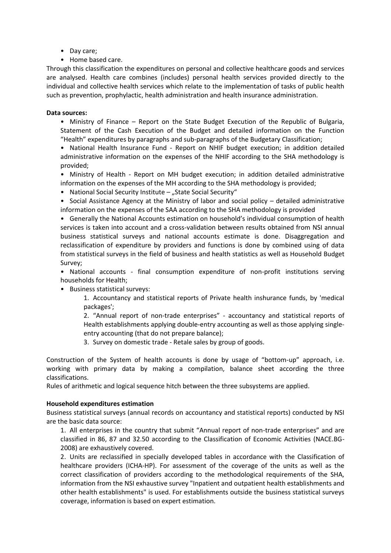- Day care;
- Home based care.

Through this classification the expenditures on personal and collective healthcare goods and services are analysed. Health care combines (includes) personal health services provided directly to the individual and collective health services which relate to the implementation of tasks of public health such as prevention, prophylactic, health administration and health insurance administration.

#### **Data sources:**

• Ministry of Finance – Report on the State Budget Execution of the Republic of Bulgaria, Statement of the Cash Execution of the Budget and detailed information on the Function "Health" expenditures by paragraphs and sub-paragraphs of the Budgetary Classification;

• National Health Insurance Fund - Report on NHIF budget execution; in addition detailed administrative information on the expenses of the NHIF according to the SHA methodology is provided;

• Ministry of Health - Report on MH budget execution; in addition detailed administrative information on the expenses of the MH according to the SHA methodology is provided;

• National Social Security Institute  $-$  "State Social Security"

• Social Assistance Agency at the Ministry of labor and social policy – detailed administrative information on the expenses of the SAA according to the SHA methodology is provided

• Generally the National Accounts estimation on household's individual consumption of health services is taken into account and a cross-validation between results obtained from NSI annual business statistical surveys and national accounts estimate is done. Disaggregation and reclassification of expenditure by providers and functions is done by combined using of data from statistical surveys in the field of business and health statistics as well as Household Budget Survey;

• National accounts - final consumption expenditure of non-profit institutions serving households for Health;

• Business statistical surveys:

1. Accountancy and statistical reports of Private health inshurance funds, by 'medical packages';

2. "Annual report of non-trade enterprises" - accountancy and statistical reports of Health establishments applying double-entry accounting as well as those applying singleentry accounting (that do not prepare balance);

3. Survey on domestic trade - Retale sales by group of goods.

Construction of the System of health accounts is done by usage of "bottom-up" approach, i.e. working with primary data by making a compilation, balance sheet according the three classifications.

Rules of arithmetic and logical sequence hitch between the three subsystems are applied.

## **Household expenditures estimation**

Business statistical surveys (annual records on accountancy and statistical reports) conducted by NSI are the basic data source:

1. All enterprises in the country that submit "Annual report of non-trade enterprises" and are classified in 86, 87 and 32.50 according to the Classification of Economic Activities (NACE.BG-2008) are exhaustively covered.

2. Units are reclassified in specially developed tables in accordance with the Classification of healthcare providers (ICHA-HP). For assessment of the coverage of the units as well as the correct classification of providers according to the methodological requirements of the SHA, information from the NSI exhaustive survey "Inpatient and outpatient health establishments and other health establishments" is used. For establishments outside the business statistical surveys coverage, information is based on expert estimation.